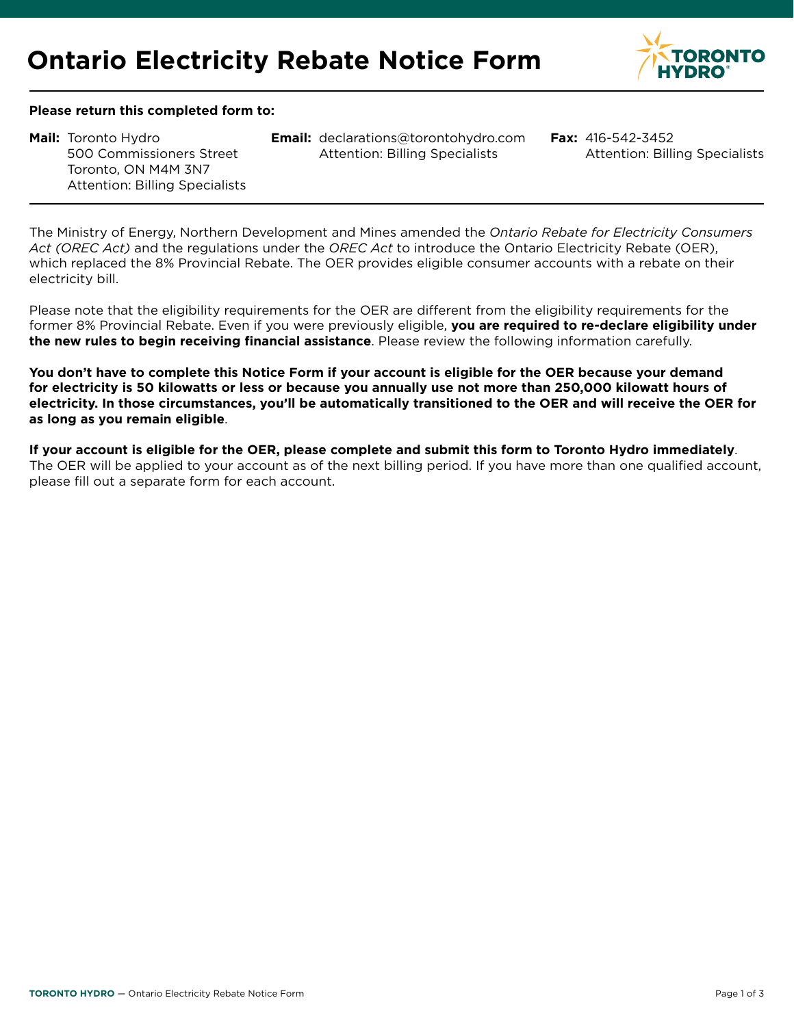

#### **Please return this completed form to:**

500 Commissioners Street Toronto, ON M4M 3N7 Attention: Billing Specialists

**Mail:** Toronto Hydro **Email: Fax:** [declarations@torontohydro.com](mailto:declarations%40torontohydro.com?subject=Billing%20Specialists) Attention: Billing Specialists

**Fax: 416-542-3452** Attention: Billing Specialists

The Ministry of Energy, Northern Development and Mines amended the *Ontario Rebate for Electricity Consumers Act (OREC Act)* and the regulations under the *OREC Act* to introduce the Ontario Electricity Rebate (OER), which replaced the 8% Provincial Rebate. The OER provides eligible consumer accounts with a rebate on their electricity bill.

Please note that the eligibility requirements for the OER are different from the eligibility requirements for the former 8% Provincial Rebate. Even if you were previously eligible, **you are required to re-declare eligibility under the new rules to begin receiving financial assistance**. Please review the following information carefully.

**You don't have to complete this Notice Form if your account is eligible for the OER because your demand for electricity is 50 kilowatts or less or because you annually use not more than 250,000 kilowatt hours of electricity. In those circumstances, you'll be automatically transitioned to the OER and will receive the OER for as long as you remain eligible**.

**If your account is eligible for the OER, please complete and submit this form to Toronto Hydro immediately**. The OER will be applied to your account as of the next billing period. If you have more than one qualified account, please fill out a separate form for each account.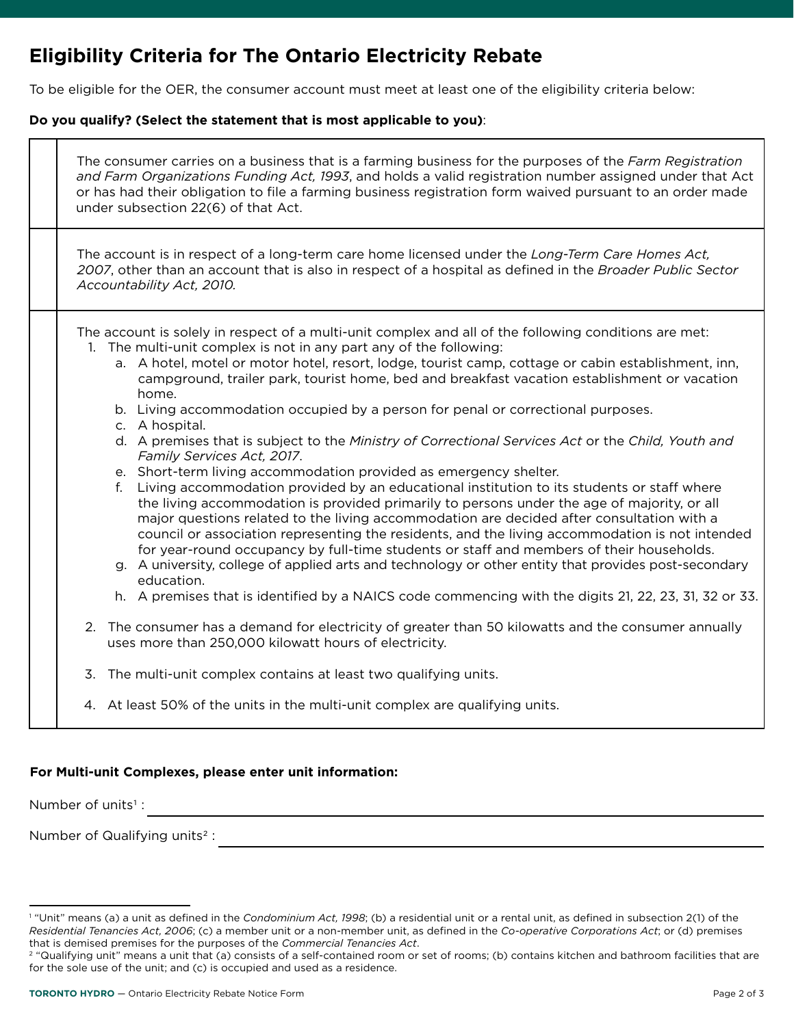# **Eligibility Criteria for The Ontario Electricity Rebate**

To be eligible for the OER, the consumer account must meet at least one of the eligibility criteria below:

### **Do you qualify? (Select the statement that is most applicable to you)**:

| The consumer carries on a business that is a farming business for the purposes of the Farm Registration<br>and Farm Organizations Funding Act, 1993, and holds a valid registration number assigned under that Act<br>or has had their obligation to file a farming business registration form waived pursuant to an order made<br>under subsection 22(6) of that Act.                                                                                                                                                                                                                                                                                                                                                                                                                                                                                                                                                                                                                                                                                                                                                                                                                                                                                                                                                                                                                                                                                                                                                                                                                                                                                                              |
|-------------------------------------------------------------------------------------------------------------------------------------------------------------------------------------------------------------------------------------------------------------------------------------------------------------------------------------------------------------------------------------------------------------------------------------------------------------------------------------------------------------------------------------------------------------------------------------------------------------------------------------------------------------------------------------------------------------------------------------------------------------------------------------------------------------------------------------------------------------------------------------------------------------------------------------------------------------------------------------------------------------------------------------------------------------------------------------------------------------------------------------------------------------------------------------------------------------------------------------------------------------------------------------------------------------------------------------------------------------------------------------------------------------------------------------------------------------------------------------------------------------------------------------------------------------------------------------------------------------------------------------------------------------------------------------|
| The account is in respect of a long-term care home licensed under the Long-Term Care Homes Act,<br>2007, other than an account that is also in respect of a hospital as defined in the Broader Public Sector<br>Accountability Act, 2010.                                                                                                                                                                                                                                                                                                                                                                                                                                                                                                                                                                                                                                                                                                                                                                                                                                                                                                                                                                                                                                                                                                                                                                                                                                                                                                                                                                                                                                           |
| The account is solely in respect of a multi-unit complex and all of the following conditions are met:<br>1. The multi-unit complex is not in any part any of the following:<br>a. A hotel, motel or motor hotel, resort, lodge, tourist camp, cottage or cabin establishment, inn,<br>campground, trailer park, tourist home, bed and breakfast vacation establishment or vacation<br>home.<br>b. Living accommodation occupied by a person for penal or correctional purposes.<br>c. A hospital.<br>d. A premises that is subject to the Ministry of Correctional Services Act or the Child, Youth and<br>Family Services Act, 2017.<br>e. Short-term living accommodation provided as emergency shelter.<br>Living accommodation provided by an educational institution to its students or staff where<br>f.<br>the living accommodation is provided primarily to persons under the age of majority, or all<br>major questions related to the living accommodation are decided after consultation with a<br>council or association representing the residents, and the living accommodation is not intended<br>for year-round occupancy by full-time students or staff and members of their households.<br>g. A university, college of applied arts and technology or other entity that provides post-secondary<br>education.<br>h. A premises that is identified by a NAICS code commencing with the digits 21, 22, 23, 31, 32 or 33.<br>The consumer has a demand for electricity of greater than 50 kilowatts and the consumer annually<br>2.<br>uses more than 250,000 kilowatt hours of electricity.<br>3.<br>The multi-unit complex contains at least two qualifying units. |
| 4. At least 50% of the units in the multi-unit complex are qualifying units.                                                                                                                                                                                                                                                                                                                                                                                                                                                                                                                                                                                                                                                                                                                                                                                                                                                                                                                                                                                                                                                                                                                                                                                                                                                                                                                                                                                                                                                                                                                                                                                                        |

## **For Multi-unit Complexes, please enter unit information:**

Number of units<sup>1</sup> :

┱

Number of Qualifying units<sup>2</sup>:

<u> 1980 - Johann Stoff, deutscher Stoffen und der Stoffen und der Stoffen und der Stoffen und der Stoffen und de</u>

<sup>1</sup> "Unit" means (a) a unit as defined in the *Condominium Act, 1998*; (b) a residential unit or a rental unit, as defined in subsection 2(1) of the *Residential Tenancies Act, 2006*; (c) a member unit or a non-member unit, as defined in the *Co-operative Corporations Act*; or (d) premises that is demised premises for the purposes of the *Commercial Tenancies Act*.

<sup>&</sup>lt;sup>2</sup> "Qualifying unit" means a unit that (a) consists of a self-contained room or set of rooms; (b) contains kitchen and bathroom facilities that are for the sole use of the unit; and (c) is occupied and used as a residence.